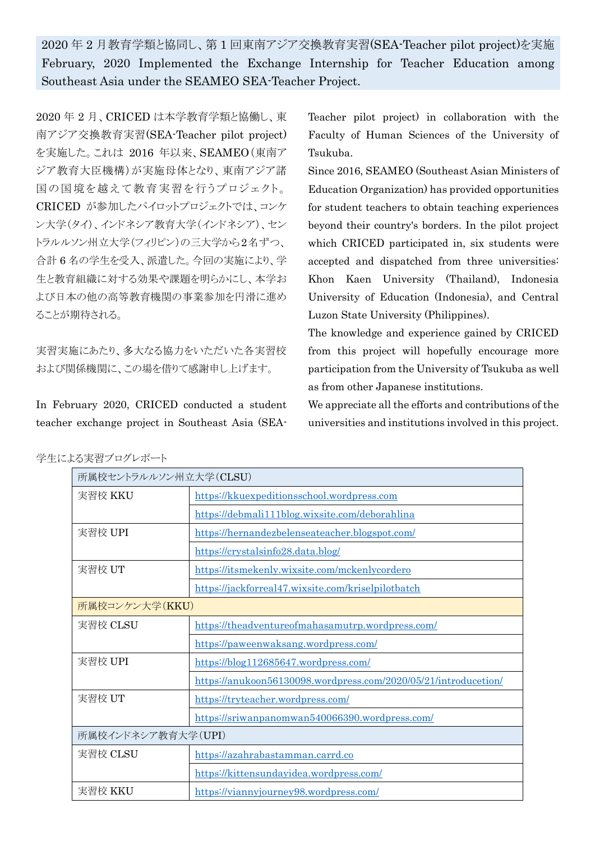2020 年 2 月教育学類と協同し、第 1 回東南アジア交換教育実習(SEA-Teacher pilot project)を実施 February, 2020 Implemented the Exchange Internship for Teacher Education among Southeast Asia under the SEAMEO SEA-Teacher Project.

2020 年 2 月、CRICED は本学教育学類と協働し、東 南アジア交換教育実習(SEA-Teacher pilot project) を実施した。これは 2016 年以来、SEAMEO(東南ア ジア教育大臣機構)が実施母体となり、東南アジア諸 国の国境を越えて教育実習を行うプロジェクト。 CRICED が参加したパイロットプロジェクトでは、コンケ ン大学(タイ)、インドネシア教育大学(インドネシア)、セン トラルルソン州立大学(フィリピン)の三大学から2名ずつ、 合計 6 名の学生を受入、派遣した。今回の実施により、学 生と教育組織に対する効果や課題を明らかにし、本学お よび日本の他の高等教育機関の事業参加を円滑に進め ることが期待される。

実習実施にあたり、多大なる協力をいただいた各実習校 および関係機関に、この場を借りて感謝申し上げます。

In February 2020, CRICED conducted a student teacher exchange project in Southeast Asia (SEA- Teacher pilot project) in collaboration with the Faculty of Human Sciences of the University of Tsukuba.

Since 2016, SEAMEO (Southeast Asian Ministers of Education Organization) has provided opportunities for student teachers to obtain teaching experiences beyond their country's borders. In the pilot project which CRICED participated in, six students were accepted and dispatched from three universities: Khon Kaen University (Thailand), Indonesia University of Education (Indonesia), and Central Luzon State University (Philippines).

The knowledge and experience gained by CRICED from this project will hopefully encourage more participation from the University of Tsukuba as well as from other Japanese institutions.

We appreciate all the efforts and contributions of the universities and institutions involved in this project.

| 学生による実習ブログレポート |  |
|----------------|--|
|----------------|--|

| 所属校セントラルルソン州立大学(CLSU) |                                                                 |  |
|-----------------------|-----------------------------------------------------------------|--|
| 実習校 KKU               | https://kkuexpeditionsschool.wordpress.com                      |  |
|                       | https://debmali111blog.wixsite.com/deborahlina                  |  |
| 実習校 UPI               | https://hernandezbelenseateacher.blogspot.com/                  |  |
|                       | https://crystalsinfo28.data.blog/                               |  |
| 実習校 UT                | https://itsmekenly.wixsite.com/mckenlycordero                   |  |
|                       | https://jackforreal47.wixsite.com/kriselpilotbatch              |  |
| 所属校コンケン大学(KKU)        |                                                                 |  |
| 実習校 CLSU              | https://theadventureofmahasamutrp.wordpress.com/                |  |
|                       | https://paweenwaksang.wordpress.com/                            |  |
| 実習校 UPI               | https://blog112685647.wordpress.com/                            |  |
|                       | https://anukoon56130098.wordpress.com/2020/05/21/introducetion/ |  |
| 実習校 UT                | https://tryteacher.wordpress.com/                               |  |
|                       | https://sriwanpanomwan540066390.wordpress.com/                  |  |
| 所属校インドネシア教育大学(UPI)    |                                                                 |  |
| 実習校 CLSU              | https://azahrabastamman.carrd.co                                |  |
|                       | https://kittensundayidea.wordpress.com/                         |  |
| 実習校 KKU               | https://viannyjourney98.wordpress.com/                          |  |